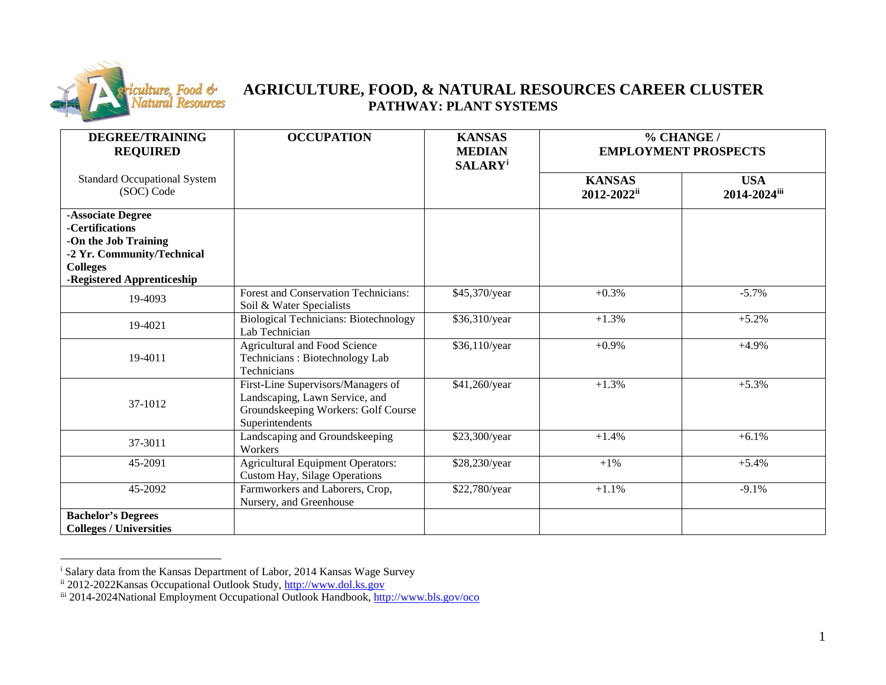

## <span id="page-0-2"></span><span id="page-0-1"></span><span id="page-0-0"></span>**AGRICULTURE, FOOD, & NATURAL RESOURCES CAREER CLUSTER PATHWAY: PLANT SYSTEMS**

| <b>DEGREE/TRAINING</b><br><b>REQUIRED</b>                                                                                                   | <b>OCCUPATION</b>                                                                                                              | <b>KANSAS</b><br><b>MEDIAN</b><br><b>SALARY</b> <sup>i</sup> | % CHANGE /<br><b>EMPLOYMENT PROSPECTS</b> |                            |
|---------------------------------------------------------------------------------------------------------------------------------------------|--------------------------------------------------------------------------------------------------------------------------------|--------------------------------------------------------------|-------------------------------------------|----------------------------|
| <b>Standard Occupational System</b><br>(SOC) Code                                                                                           |                                                                                                                                |                                                              | <b>KANSAS</b><br>2012-2022ii              | <b>USA</b><br>2014-2024iii |
| -Associate Degree<br>-Certifications<br>-On the Job Training<br>-2 Yr. Community/Technical<br><b>Colleges</b><br>-Registered Apprenticeship |                                                                                                                                |                                                              |                                           |                            |
| 19-4093                                                                                                                                     | <b>Forest and Conservation Technicians:</b><br>Soil & Water Specialists                                                        | \$45,370/year                                                | $+0.3%$                                   | $-5.7\%$                   |
| 19-4021                                                                                                                                     | <b>Biological Technicians: Biotechnology</b><br>Lab Technician                                                                 | \$36,310/year                                                | $+1.3%$                                   | $+5.2%$                    |
| 19-4011                                                                                                                                     | <b>Agricultural and Food Science</b><br>Technicians: Biotechnology Lab<br>Technicians                                          | \$36,110/year                                                | $+0.9%$                                   | $+4.9%$                    |
| 37-1012                                                                                                                                     | First-Line Supervisors/Managers of<br>Landscaping, Lawn Service, and<br>Groundskeeping Workers: Golf Course<br>Superintendents | \$41,260/year                                                | $+1.3%$                                   | $+5.3%$                    |
| 37-3011                                                                                                                                     | Landscaping and Groundskeeping<br>Workers                                                                                      | \$23,300/year                                                | $+1.4%$                                   | $+6.1%$                    |
| 45-2091                                                                                                                                     | <b>Agricultural Equipment Operators:</b><br>Custom Hay, Silage Operations                                                      | \$28,230/year                                                | $+1\%$                                    | $+5.4%$                    |
| 45-2092                                                                                                                                     | Farmworkers and Laborers, Crop,<br>Nursery, and Greenhouse                                                                     | \$22,780/year                                                | $+1.1%$                                   | $-9.1%$                    |
| <b>Bachelor's Degrees</b><br><b>Colleges / Universities</b>                                                                                 |                                                                                                                                |                                                              |                                           |                            |

i Salary data from the Kansas Department of Labor, 2014 Kansas Wage Survey

ii 2012-2022Kansas Occupational Outlook Study, [http://www.dol.ks.gov](http://www.dol.ks.gov/)

iii 2014-2024National Employment Occupational Outlook Handbook,<http://www.bls.gov/oco>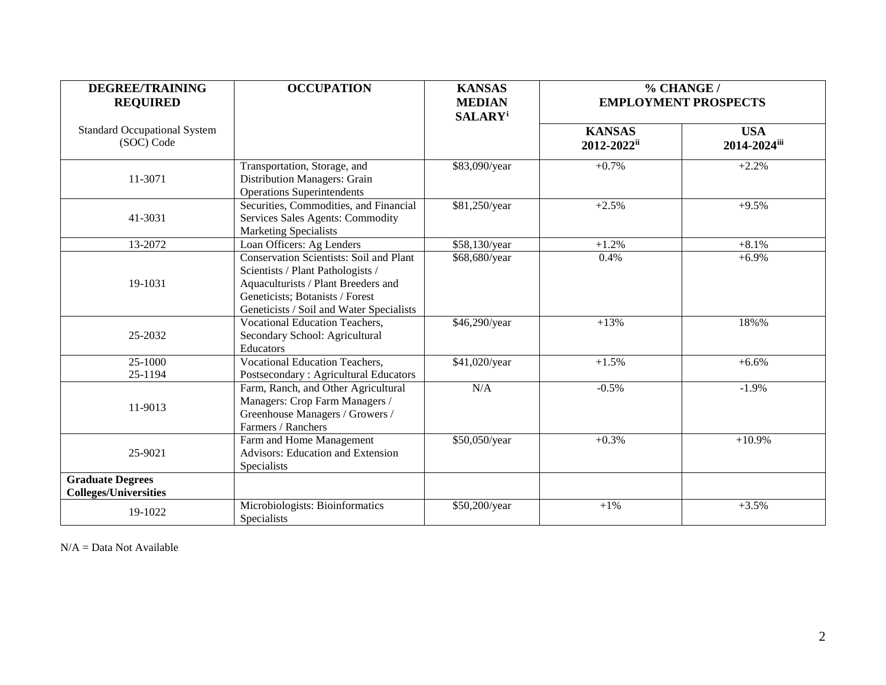| <b>DEGREE/TRAINING</b><br><b>REQUIRED</b>               | <b>OCCUPATION</b>                                                                                                                                                                                         | % CHANGE /<br><b>KANSAS</b><br><b>MEDIAN</b><br><b>EMPLOYMENT PROSPECTS</b><br><b>SALARY</b> <sup>i</sup> |                              |                            |
|---------------------------------------------------------|-----------------------------------------------------------------------------------------------------------------------------------------------------------------------------------------------------------|-----------------------------------------------------------------------------------------------------------|------------------------------|----------------------------|
| <b>Standard Occupational System</b><br>(SOC) Code       |                                                                                                                                                                                                           |                                                                                                           | <b>KANSAS</b><br>2012-2022ii | <b>USA</b><br>2014-2024iii |
| 11-3071                                                 | Transportation, Storage, and<br>Distribution Managers: Grain<br><b>Operations Superintendents</b>                                                                                                         | \$83,090/year                                                                                             | $+0.7%$                      | $+2.2%$                    |
| 41-3031                                                 | Securities, Commodities, and Financial<br>Services Sales Agents: Commodity<br><b>Marketing Specialists</b>                                                                                                | \$81,250/year                                                                                             | $+2.5%$                      | $+9.5%$                    |
| 13-2072                                                 | Loan Officers: Ag Lenders                                                                                                                                                                                 | \$58,130/year                                                                                             | $+1.2%$                      | $+8.1%$                    |
| 19-1031                                                 | <b>Conservation Scientists: Soil and Plant</b><br>Scientists / Plant Pathologists /<br>Aquaculturists / Plant Breeders and<br>Geneticists; Botanists / Forest<br>Geneticists / Soil and Water Specialists | \$68,680/year                                                                                             | 0.4%                         | $+6.9%$                    |
| 25-2032                                                 | <b>Vocational Education Teachers,</b><br>Secondary School: Agricultural<br>Educators                                                                                                                      | \$46,290/year                                                                                             | $+13%$                       | 18%%                       |
| 25-1000<br>25-1194                                      | Vocational Education Teachers,<br>Postsecondary: Agricultural Educators                                                                                                                                   | \$41,020/year                                                                                             | $+1.5%$                      | $+6.6%$                    |
| 11-9013                                                 | Farm, Ranch, and Other Agricultural<br>Managers: Crop Farm Managers /<br>Greenhouse Managers / Growers /<br>Farmers / Ranchers                                                                            | N/A                                                                                                       | $-0.5%$                      | $-1.9%$                    |
| 25-9021                                                 | Farm and Home Management<br>Advisors: Education and Extension<br>Specialists                                                                                                                              | \$50,050/year                                                                                             | $+0.3%$                      | $+10.9%$                   |
| <b>Graduate Degrees</b><br><b>Colleges/Universities</b> |                                                                                                                                                                                                           |                                                                                                           |                              |                            |
| 19-1022                                                 | Microbiologists: Bioinformatics<br>Specialists                                                                                                                                                            | \$50,200/year                                                                                             | $+1%$                        | $+3.5%$                    |

N/A = Data Not Available